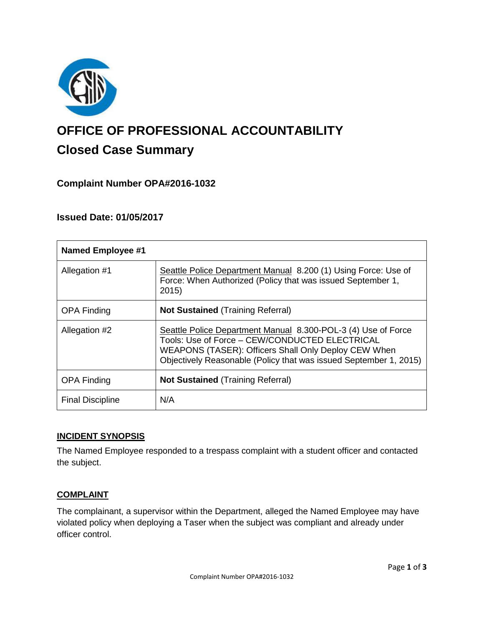

# **OFFICE OF PROFESSIONAL ACCOUNTABILITY Closed Case Summary**

# **Complaint Number OPA#2016-1032**

## **Issued Date: 01/05/2017**

| <b>Named Employee #1</b> |                                                                                                                                                                                                                                              |
|--------------------------|----------------------------------------------------------------------------------------------------------------------------------------------------------------------------------------------------------------------------------------------|
| Allegation #1            | Seattle Police Department Manual 8.200 (1) Using Force: Use of<br>Force: When Authorized (Policy that was issued September 1,<br>2015)                                                                                                       |
| <b>OPA Finding</b>       | <b>Not Sustained (Training Referral)</b>                                                                                                                                                                                                     |
| Allegation #2            | Seattle Police Department Manual 8.300-POL-3 (4) Use of Force<br>Tools: Use of Force - CEW/CONDUCTED ELECTRICAL<br>WEAPONS (TASER): Officers Shall Only Deploy CEW When<br>Objectively Reasonable (Policy that was issued September 1, 2015) |
| <b>OPA Finding</b>       | <b>Not Sustained (Training Referral)</b>                                                                                                                                                                                                     |
| <b>Final Discipline</b>  | N/A                                                                                                                                                                                                                                          |

#### **INCIDENT SYNOPSIS**

The Named Employee responded to a trespass complaint with a student officer and contacted the subject.

#### **COMPLAINT**

The complainant, a supervisor within the Department, alleged the Named Employee may have violated policy when deploying a Taser when the subject was compliant and already under officer control.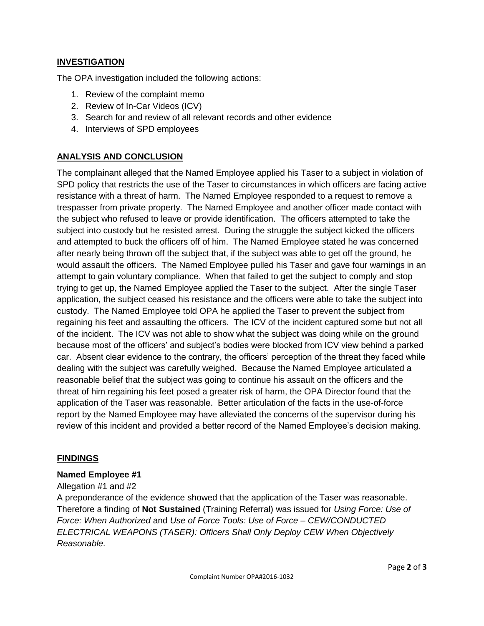## **INVESTIGATION**

The OPA investigation included the following actions:

- 1. Review of the complaint memo
- 2. Review of In-Car Videos (ICV)
- 3. Search for and review of all relevant records and other evidence
- 4. Interviews of SPD employees

### **ANALYSIS AND CONCLUSION**

The complainant alleged that the Named Employee applied his Taser to a subject in violation of SPD policy that restricts the use of the Taser to circumstances in which officers are facing active resistance with a threat of harm. The Named Employee responded to a request to remove a trespasser from private property. The Named Employee and another officer made contact with the subject who refused to leave or provide identification. The officers attempted to take the subject into custody but he resisted arrest. During the struggle the subject kicked the officers and attempted to buck the officers off of him. The Named Employee stated he was concerned after nearly being thrown off the subject that, if the subject was able to get off the ground, he would assault the officers. The Named Employee pulled his Taser and gave four warnings in an attempt to gain voluntary compliance. When that failed to get the subject to comply and stop trying to get up, the Named Employee applied the Taser to the subject. After the single Taser application, the subject ceased his resistance and the officers were able to take the subject into custody. The Named Employee told OPA he applied the Taser to prevent the subject from regaining his feet and assaulting the officers. The ICV of the incident captured some but not all of the incident. The ICV was not able to show what the subject was doing while on the ground because most of the officers' and subject's bodies were blocked from ICV view behind a parked car. Absent clear evidence to the contrary, the officers' perception of the threat they faced while dealing with the subject was carefully weighed. Because the Named Employee articulated a reasonable belief that the subject was going to continue his assault on the officers and the threat of him regaining his feet posed a greater risk of harm, the OPA Director found that the application of the Taser was reasonable. Better articulation of the facts in the use-of-force report by the Named Employee may have alleviated the concerns of the supervisor during his review of this incident and provided a better record of the Named Employee's decision making.

#### **FINDINGS**

#### **Named Employee #1**

Allegation #1 and #2

A preponderance of the evidence showed that the application of the Taser was reasonable. Therefore a finding of **Not Sustained** (Training Referral) was issued for *Using Force: Use of Force: When Authorized* and *Use of Force Tools: Use of Force – CEW/CONDUCTED ELECTRICAL WEAPONS (TASER): Officers Shall Only Deploy CEW When Objectively Reasonable.*